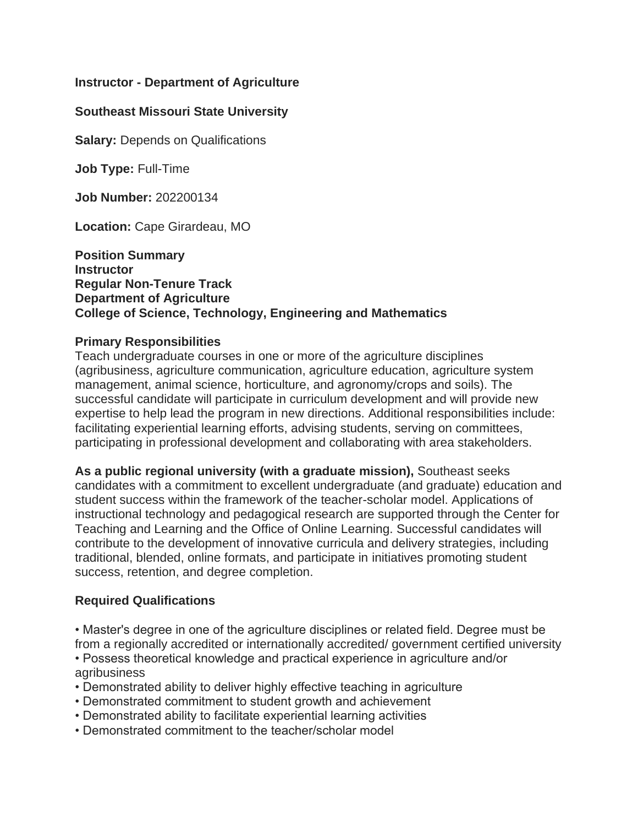# **Instructor - Department of Agriculture**

# **Southeast Missouri State University**

**Salary: Depends on Qualifications** 

**Job Type:** Full-Time

**Job Number:** 202200134

**Location:** Cape Girardeau, MO

#### **Position Summary Instructor Regular Non-Tenure Track Department of Agriculture College of Science, Technology, Engineering and Mathematics**

#### **Primary Responsibilities**

Teach undergraduate courses in one or more of the agriculture disciplines (agribusiness, agriculture communication, agriculture education, agriculture system management, animal science, horticulture, and agronomy/crops and soils). The successful candidate will participate in curriculum development and will provide new expertise to help lead the program in new directions. Additional responsibilities include: facilitating experiential learning efforts, advising students, serving on committees, participating in professional development and collaborating with area stakeholders.

**As a public regional university (with a graduate mission),** Southeast seeks candidates with a commitment to excellent undergraduate (and graduate) education and student success within the framework of the teacher-scholar model. Applications of instructional technology and pedagogical research are supported through the Center for Teaching and Learning and the Office of Online Learning. Successful candidates will contribute to the development of innovative curricula and delivery strategies, including traditional, blended, online formats, and participate in initiatives promoting student success, retention, and degree completion.

## **Required Qualifications**

• Master's degree in one of the agriculture disciplines or related field. Degree must be from a regionally accredited or internationally accredited/ government certified university

• Possess theoretical knowledge and practical experience in agriculture and/or agribusiness

- Demonstrated ability to deliver highly effective teaching in agriculture
- Demonstrated commitment to student growth and achievement
- Demonstrated ability to facilitate experiential learning activities
- Demonstrated commitment to the teacher/scholar model